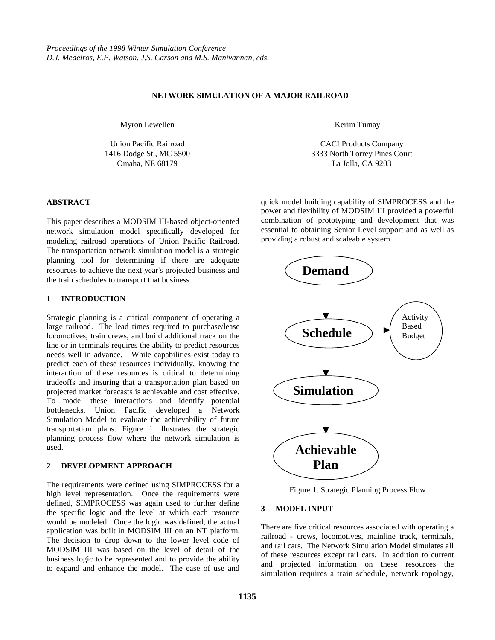### **NETWORK SIMULATION OF A MAJOR RAILROAD**

Myron Lewellen

Union Pacific Railroad 1416 Dodge St., MC 5500 Omaha, NE 68179

#### Kerim Tumay

CACI Products Company 3333 North Torrey Pines Court La Jolla, CA 9203

#### **ABSTRACT**

This paper describes a MODSIM III-based object-oriented network simulation model specifically developed for modeling railroad operations of Union Pacific Railroad. The transportation network simulation model is a strategic planning tool for determining if there are adequate resources to achieve the next year's projected business and the train schedules to transport that business.

#### **1 INTRODUCTION**

Strategic planning is a critical component of operating a large railroad. The lead times required to purchase/lease locomotives, train crews, and build additional track on the line or in terminals requires the ability to predict resources needs well in advance. While capabilities exist today to predict each of these resources individually, knowing the interaction of these resources is critical to determining tradeoffs and insuring that a transportation plan based on projected market forecasts is achievable and cost effective. To model these interactions and identify potential bottlenecks, Union Pacific developed a Network Simulation Model to evaluate the achievability of future transportation plans. Figure 1 illustrates the strategic planning process flow where the network simulation is used.

### **2 DEVELOPMENT APPROACH**

The requirements were defined using SIMPROCESS for a high level representation. Once the requirements were defined, SIMPROCESS was again used to further define the specific logic and the level at which each resource would be modeled. Once the logic was defined, the actual application was built in MODSIM III on an NT platform. The decision to drop down to the lower level code of MODSIM III was based on the level of detail of the business logic to be represented and to provide the ability to expand and enhance the model. The ease of use and quick model building capability of SIMPROCESS and the power and flexibility of MODSIM III provided a powerful combination of prototyping and development that was essential to obtaining Senior Level support and as well as providing a robust and scaleable system.



Figure 1. Strategic Planning Process Flow

#### **3 MODEL INPUT**

There are five critical resources associated with operating a railroad - crews, locomotives, mainline track, terminals, and rail cars. The Network Simulation Model simulates all of these resources except rail cars. In addition to current and projected information on these resources the simulation requires a train schedule, network topology,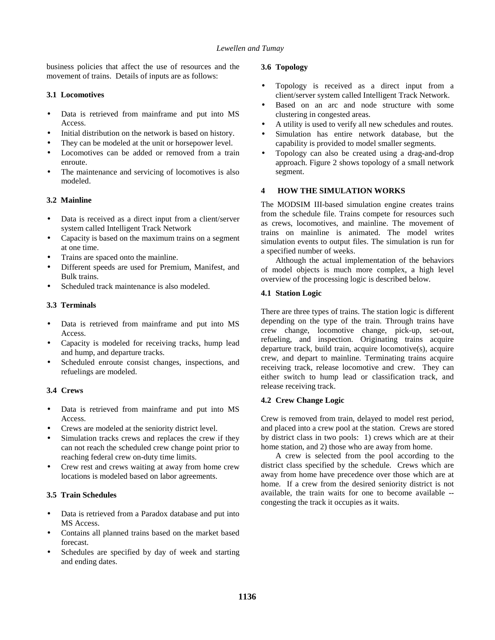business policies that affect the use of resources and the movement of trains. Details of inputs are as follows:

# **3.1 Locomotives**

- Data is retrieved from mainframe and put into MS Access.
- Initial distribution on the network is based on history.
- They can be modeled at the unit or horsepower level.
- Locomotives can be added or removed from a train enroute.
- The maintenance and servicing of locomotives is also modeled.

# **3.2 Mainline**

- Data is received as a direct input from a client/server system called Intelligent Track Network
- Capacity is based on the maximum trains on a segment at one time.
- Trains are spaced onto the mainline.
- Different speeds are used for Premium, Manifest, and Bulk trains.
- Scheduled track maintenance is also modeled.

# **3.3 Terminals**

- Data is retrieved from mainframe and put into MS Access.
- Capacity is modeled for receiving tracks, hump lead and hump, and departure tracks.
- Scheduled enroute consist changes, inspections, and refuelings are modeled.

# **3.4 Crews**

- Data is retrieved from mainframe and put into MS **Access**
- Crews are modeled at the seniority district level.
- Simulation tracks crews and replaces the crew if they can not reach the scheduled crew change point prior to reaching federal crew on-duty time limits.
- Crew rest and crews waiting at away from home crew locations is modeled based on labor agreements.

# **3.5 Train Schedules**

- Data is retrieved from a Paradox database and put into MS Access.
- Contains all planned trains based on the market based forecast.
- Schedules are specified by day of week and starting and ending dates.

# **3.6 Topology**

- Topology is received as a direct input from a client/server system called Intelligent Track Network.
- Based on an arc and node structure with some clustering in congested areas.
- A utility is used to verify all new schedules and routes.
- Simulation has entire network database, but the capability is provided to model smaller segments.
- Topology can also be created using a drag-and-drop approach. Figure 2 shows topology of a small network segment.

# **4 HOW THE SIMULATION WORKS**

The MODSIM III-based simulation engine creates trains from the schedule file. Trains compete for resources such as crews, locomotives, and mainline. The movement of trains on mainline is animated. The model writes simulation events to output files. The simulation is run for a specified number of weeks.

Although the actual implementation of the behaviors of model objects is much more complex, a high level overview of the processing logic is described below.

# **4.1 Station Logic**

There are three types of trains. The station logic is different depending on the type of the train. Through trains have crew change, locomotive change, pick-up, set-out, refueling, and inspection. Originating trains acquire departure track, build train, acquire locomotive(s), acquire crew, and depart to mainline. Terminating trains acquire receiving track, release locomotive and crew. They can either switch to hump lead or classification track, and release receiving track.

# **4.2 Crew Change Logic**

Crew is removed from train, delayed to model rest period, and placed into a crew pool at the station. Crews are stored by district class in two pools: 1) crews which are at their home station, and 2) those who are away from home.

A crew is selected from the pool according to the district class specified by the schedule. Crews which are away from home have precedence over those which are at home. If a crew from the desired seniority district is not available, the train waits for one to become available - congesting the track it occupies as it waits.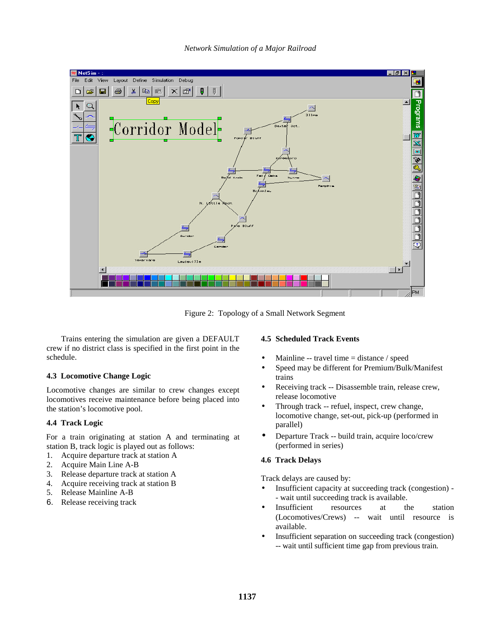

Figure 2: Topology of a Small Network Segment

Trains entering the simulation are given a DEFAULT crew if no district class is specified in the first point in the schedule.

### **4.3 Locomotive Change Logic**

Locomotive changes are similar to crew changes except locomotives receive maintenance before being placed into the station's locomotive pool.

### **4.4 Track Logic**

For a train originating at station A and terminating at station B, track logic is played out as follows:

- 1. Acquire departure track at station A
- 2. Acquire Main Line A-B
- 3. Release departure track at station A
- 4. Acquire receiving track at station B
- 5. Release Mainline A-B
- 6. Release receiving track

#### **4.5 Scheduled Track Events**

- Mainline -- travel time = distance / speed
- Speed may be different for Premium/Bulk/Manifest trains
- Receiving track -- Disassemble train, release crew, release locomotive
- Through track -- refuel, inspect, crew change, locomotive change, set-out, pick-up (performed in parallel)
- Departure Track -- build train, acquire loco/crew (performed in series)

### **4.6 Track Delays**

Track delays are caused by:

- Insufficient capacity at succeeding track (congestion) - wait until succeeding track is available.
- Insufficient resources at the station (Locomotives/Crews) -- wait until resource is available.
- Insufficient separation on succeeding track (congestion) -- wait until sufficient time gap from previous train.